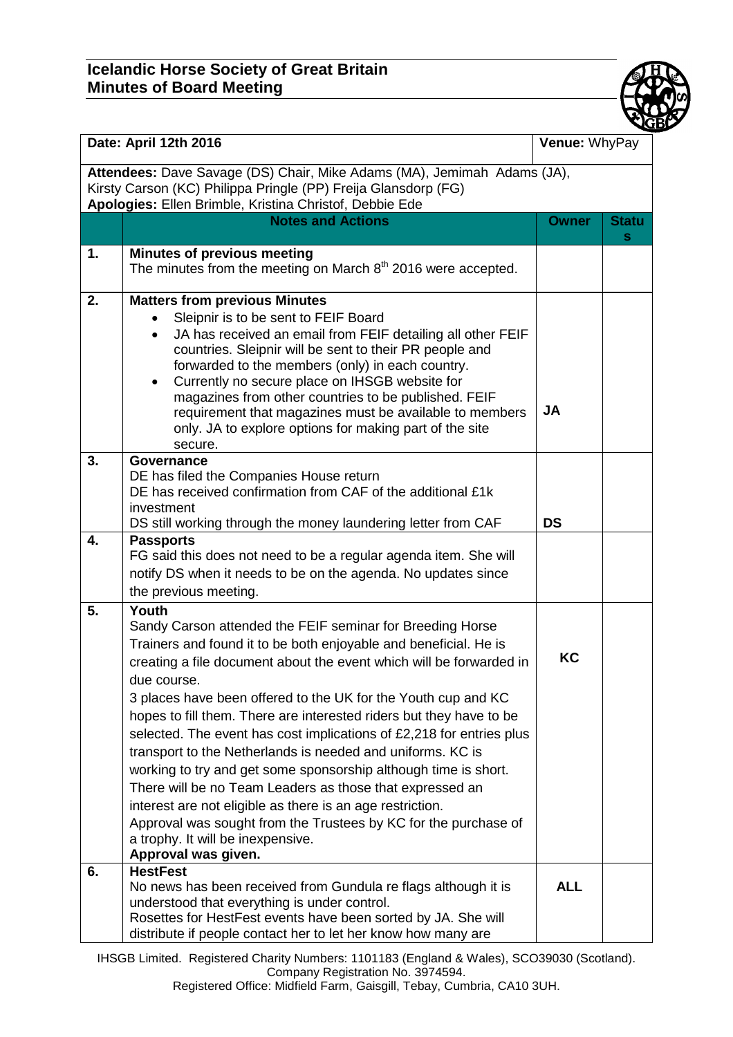## **Icelandic Horse Society of Great Britain Minutes of Board Meeting**



| Date: April 12th 2016                                                                                                                                                                                |                                                                                                                                                                                                                                                                                                                                                                                                                                                                                                                                                                                                                                                                                                                                                                                                                                       | Venue: WhyPay |                   |  |
|------------------------------------------------------------------------------------------------------------------------------------------------------------------------------------------------------|---------------------------------------------------------------------------------------------------------------------------------------------------------------------------------------------------------------------------------------------------------------------------------------------------------------------------------------------------------------------------------------------------------------------------------------------------------------------------------------------------------------------------------------------------------------------------------------------------------------------------------------------------------------------------------------------------------------------------------------------------------------------------------------------------------------------------------------|---------------|-------------------|--|
| Attendees: Dave Savage (DS) Chair, Mike Adams (MA), Jemimah Adams (JA),<br>Kirsty Carson (KC) Philippa Pringle (PP) Freija Glansdorp (FG)<br>Apologies: Ellen Brimble, Kristina Christof, Debbie Ede |                                                                                                                                                                                                                                                                                                                                                                                                                                                                                                                                                                                                                                                                                                                                                                                                                                       |               |                   |  |
|                                                                                                                                                                                                      | <b>Notes and Actions</b>                                                                                                                                                                                                                                                                                                                                                                                                                                                                                                                                                                                                                                                                                                                                                                                                              | <b>Owner</b>  | <b>Statu</b><br>s |  |
| 1.                                                                                                                                                                                                   | <b>Minutes of previous meeting</b><br>The minutes from the meeting on March 8 <sup>th</sup> 2016 were accepted.                                                                                                                                                                                                                                                                                                                                                                                                                                                                                                                                                                                                                                                                                                                       |               |                   |  |
| 2.                                                                                                                                                                                                   | <b>Matters from previous Minutes</b><br>Sleipnir is to be sent to FEIF Board<br>JA has received an email from FEIF detailing all other FEIF<br>countries. Sleipnir will be sent to their PR people and<br>forwarded to the members (only) in each country.<br>Currently no secure place on IHSGB website for<br>$\bullet$<br>magazines from other countries to be published. FEIF<br>requirement that magazines must be available to members<br>only. JA to explore options for making part of the site<br>secure.                                                                                                                                                                                                                                                                                                                    | <b>JA</b>     |                   |  |
| 3.                                                                                                                                                                                                   | Governance<br>DE has filed the Companies House return<br>DE has received confirmation from CAF of the additional £1k<br>investment<br>DS still working through the money laundering letter from CAF                                                                                                                                                                                                                                                                                                                                                                                                                                                                                                                                                                                                                                   | <b>DS</b>     |                   |  |
| 4.                                                                                                                                                                                                   | <b>Passports</b><br>FG said this does not need to be a regular agenda item. She will<br>notify DS when it needs to be on the agenda. No updates since<br>the previous meeting.                                                                                                                                                                                                                                                                                                                                                                                                                                                                                                                                                                                                                                                        |               |                   |  |
| 5.                                                                                                                                                                                                   | Youth<br>Sandy Carson attended the FEIF seminar for Breeding Horse<br>Trainers and found it to be both enjoyable and beneficial. He is<br>creating a file document about the event which will be forwarded in<br>due course.<br>3 places have been offered to the UK for the Youth cup and KC<br>hopes to fill them. There are interested riders but they have to be<br>selected. The event has cost implications of £2,218 for entries plus<br>transport to the Netherlands is needed and uniforms. KC is<br>working to try and get some sponsorship although time is short.<br>There will be no Team Leaders as those that expressed an<br>interest are not eligible as there is an age restriction.<br>Approval was sought from the Trustees by KC for the purchase of<br>a trophy. It will be inexpensive.<br>Approval was given. | KC            |                   |  |
| 6.                                                                                                                                                                                                   | <b>HestFest</b><br>No news has been received from Gundula re flags although it is<br>understood that everything is under control.<br>Rosettes for HestFest events have been sorted by JA. She will<br>distribute if people contact her to let her know how many are                                                                                                                                                                                                                                                                                                                                                                                                                                                                                                                                                                   | <b>ALL</b>    |                   |  |

IHSGB Limited. Registered Charity Numbers: 1101183 (England & Wales), SCO39030 (Scotland). Company Registration No. 3974594.

Registered Office: Midfield Farm, Gaisgill, Tebay, Cumbria, CA10 3UH.